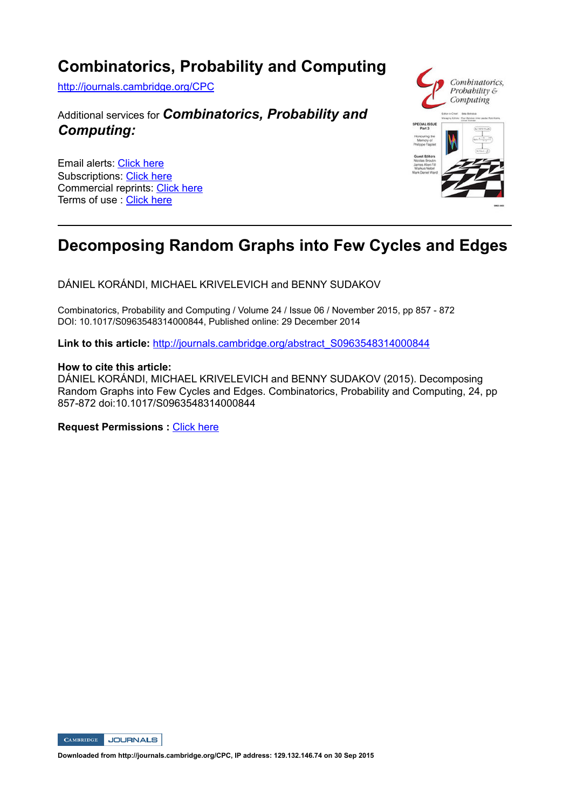## **Combinatorics, Probability and Computing**

http://journals.cambridge.org/CPC

### Additional services for *Combinatorics, Probability and Computing:*

Email alerts: Click here Subscriptions: Click here Commercial reprints: Click here Terms of use : Click here



## **Decomposing Random Graphs into Few Cycles and Edges**

DÁNIEL KORÁNDI, MICHAEL KRIVELEVICH and BENNY SUDAKOV

Combinatorics, Probability and Computing / Volume 24 / Issue 06 / November 2015, pp 857 - 872 DOI: 10.1017/S0963548314000844, Published online: 29 December 2014

Link to this article: http://journals.cambridge.org/abstract\_S0963548314000844

### **How to cite this article:**

DÁNIEL KORÁNDI, MICHAEL KRIVELEVICH and BENNY SUDAKOV (2015). Decomposing Random Graphs into Few Cycles and Edges. Combinatorics, Probability and Computing, 24, pp 857-872 doi:10.1017/S0963548314000844

**Request Permissions :** Click here



**Downloaded from http://journals.cambridge.org/CPC, IP address: 129.132.146.74 on 30 Sep 2015**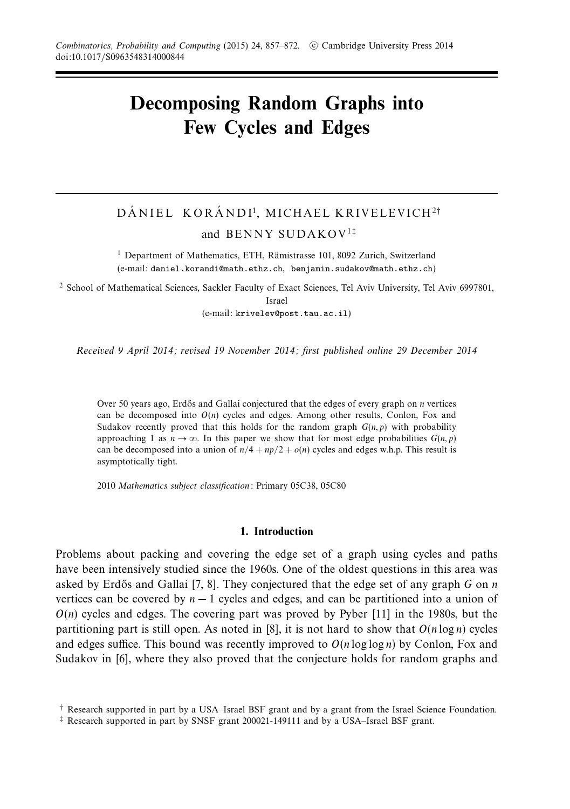# **Decomposing Random Graphs into Few Cycles and Edges**

## DÁNIEL KORÁNDI<sup>1</sup>, MICHAEL KRIVELEVICH<sup>2†</sup> and BENNY SUDAKOV<sup>1</sup>‡

<sup>1</sup> Department of Mathematics, ETH, Rämistrasse 101, 8092 Zurich, Switzerland (e-mail: daniel.korandi@math.ethz.ch, benjamin.sudakov@math.ethz.ch)

<sup>2</sup> School of Mathematical Sciences, Sackler Faculty of Exact Sciences, Tel Aviv University, Tel Aviv 6997801,

Israel

(e-mail: krivelev@post.tau.ac.il)

Received 9 April 2014; revised 19 November 2014; first published online 29 December 2014

Over 50 years ago, Erd˝os and Gallai conjectured that the edges of every graph on *n* vertices can be decomposed into  $O(n)$  cycles and edges. Among other results, Conlon, Fox and Sudakov recently proved that this holds for the random graph  $G(n, p)$  with probability approaching 1 as  $n \to \infty$ . In this paper we show that for most edge probabilities  $G(n, p)$ can be decomposed into a union of  $n/4 + np/2 + o(n)$  cycles and edges w.h.p. This result is asymptotically tight.

2010 Mathematics subject classification: Primary 05C38, 05C80

#### **1. Introduction**

Problems about packing and covering the edge set of a graph using cycles and paths have been intensively studied since the 1960s. One of the oldest questions in this area was asked by Erdős and Gallai [7, 8]. They conjectured that the edge set of any graph *G* on *n* vertices can be covered by *n* − 1 cycles and edges, and can be partitioned into a union of  $O(n)$  cycles and edges. The covering part was proved by Pyber  $[11]$  in the 1980s, but the partitioning part is still open. As noted in [8], it is not hard to show that  $O(n \log n)$  cycles and edges suffice. This bound was recently improved to  $O(n \log \log n)$  by Conlon, Fox and Sudakov in [6], where they also proved that the conjecture holds for random graphs and

<sup>†</sup> Research supported in part by a USA–Israel BSF grant and by a grant from the Israel Science Foundation.

<sup>‡</sup> Research supported in part by SNSF grant 200021-149111 and by a USA–Israel BSF grant.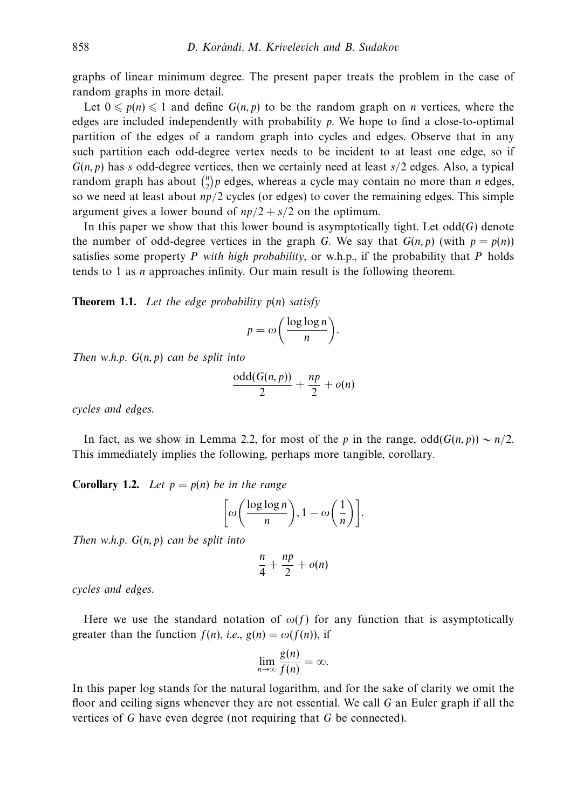graphs of linear minimum degree. The present paper treats the problem in the case of random graphs in more detail.

Let  $0 \leq p(n) \leq 1$  and define  $G(n, p)$  to be the random graph on *n* vertices, where the edges are included independently with probability *p*. We hope to find a close-to-optimal partition of the edges of a random graph into cycles and edges. Observe that in any such partition each odd-degree vertex needs to be incident to at least one edge, so if *G*(*n, p*) has *s* odd-degree vertices, then we certainly need at least *s/*2 edges. Also, a typical random graph has about  $\binom{n}{2}p$  edges, whereas a cycle may contain no more than *n* edges, so we need at least about *np/*2 cycles (or edges) to cover the remaining edges. This simple argument gives a lower bound of  $np/2 + s/2$  on the optimum.

In this paper we show that this lower bound is asymptotically tight. Let  $odd(G)$  denote the number of odd-degree vertices in the graph *G*. We say that  $G(n, p)$  (with  $p = p(n)$ ) satisfies some property *P* with high probability, or w.h.p., if the probability that *P* holds tends to 1 as *n* approaches infinity. Our main result is the following theorem.

**Theorem 1.1.** Let the edge probability *p*(*n*) satisfy

$$
p = \omega \bigg( \frac{\log \log n}{n} \bigg).
$$

Then w.h.p. *G*(*n, p*) can be split into

$$
\frac{\text{odd}(G(n,p))}{2} + \frac{np}{2} + o(n)
$$

cycles and edges.

In fact, as we show in Lemma 2.2, for most of the *p* in the range, odd(*G*(*n, p*)) ∼ *n/*2. This immediately implies the following, perhaps more tangible, corollary.

**Corollary 1.2.** Let  $p = p(n)$  be in the range

$$
\left[\omega\left(\frac{\log\log n}{n}\right), 1 - \omega\left(\frac{1}{n}\right)\right].
$$

Then w.h.p.  $G(n, p)$  can be split into

$$
\frac{n}{4} + \frac{np}{2} + o(n)
$$

cycles and edges.

Here we use the standard notation of  $\omega(f)$  for any function that is asymptotically greater than the function  $f(n)$ , *i.e.*,  $g(n) = \omega(f(n))$ , if

$$
\lim_{n\to\infty}\frac{g(n)}{f(n)}=\infty.
$$

In this paper log stands for the natural logarithm, and for the sake of clarity we omit the floor and ceiling signs whenever they are not essential. We call *G* an Euler graph if all the vertices of *G* have even degree (not requiring that *G* be connected).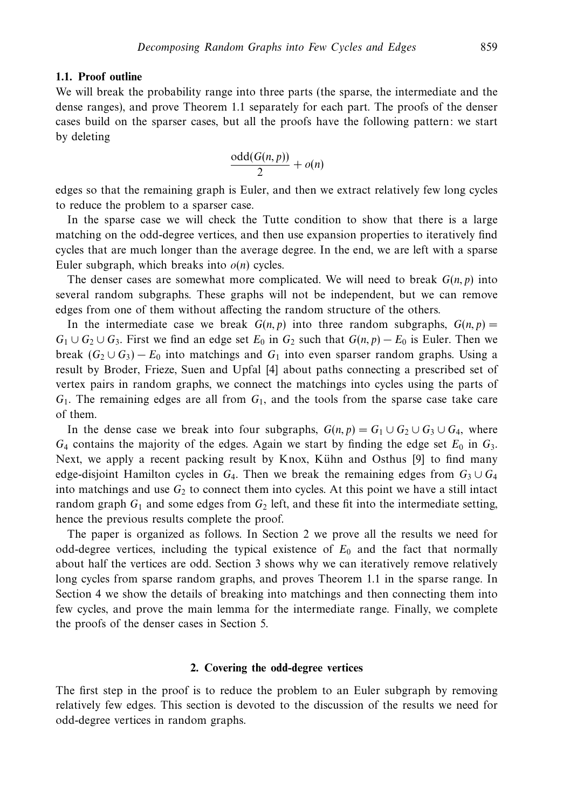#### **1.1. Proof outline**

We will break the probability range into three parts (the sparse, the intermediate and the dense ranges), and prove Theorem 1.1 separately for each part. The proofs of the denser cases build on the sparser cases, but all the proofs have the following pattern: we start by deleting

$$
\frac{\text{odd}(G(n,p))}{2} + o(n)
$$

edges so that the remaining graph is Euler, and then we extract relatively few long cycles to reduce the problem to a sparser case.

In the sparse case we will check the Tutte condition to show that there is a large matching on the odd-degree vertices, and then use expansion properties to iteratively find cycles that are much longer than the average degree. In the end, we are left with a sparse Euler subgraph, which breaks into  $o(n)$  cycles.

The denser cases are somewhat more complicated. We will need to break *G*(*n, p*) into several random subgraphs. These graphs will not be independent, but we can remove edges from one of them without affecting the random structure of the others.

In the intermediate case we break  $G(n, p)$  into three random subgraphs,  $G(n, p)$ *G*<sub>1</sub> ∪ *G*<sub>2</sub> ∪ *G*<sub>3</sub>*.* First we find an edge set *E*<sub>0</sub> in *G*<sub>2</sub> such that *G*(*n*, *p*) − *E*<sub>0</sub> is Euler. Then we break  $(G_2 \cup G_3) - E_0$  into matchings and  $G_1$  into even sparser random graphs. Using a result by Broder, Frieze, Suen and Upfal [4] about paths connecting a prescribed set of vertex pairs in random graphs, we connect the matchings into cycles using the parts of *G*1. The remaining edges are all from *G*1, and the tools from the sparse case take care of them.

In the dense case we break into four subgraphs,  $G(n, p) = G_1 \cup G_2 \cup G_3 \cup G_4$ , where  $G_4$  contains the majority of the edges. Again we start by finding the edge set  $E_0$  in  $G_3$ . Next, we apply a recent packing result by Knox, Kühn and Osthus [9] to find many edge-disjoint Hamilton cycles in  $G_4$ . Then we break the remaining edges from  $G_3 \cup G_4$ into matchings and use  $G_2$  to connect them into cycles. At this point we have a still intact random graph  $G_1$  and some edges from  $G_2$  left, and these fit into the intermediate setting, hence the previous results complete the proof.

The paper is organized as follows. In Section 2 we prove all the results we need for odd-degree vertices, including the typical existence of  $E_0$  and the fact that normally about half the vertices are odd. Section 3 shows why we can iteratively remove relatively long cycles from sparse random graphs, and proves Theorem 1.1 in the sparse range. In Section 4 we show the details of breaking into matchings and then connecting them into few cycles, and prove the main lemma for the intermediate range. Finally, we complete the proofs of the denser cases in Section 5.

#### **2. Covering the odd-degree vertices**

The first step in the proof is to reduce the problem to an Euler subgraph by removing relatively few edges. This section is devoted to the discussion of the results we need for odd-degree vertices in random graphs.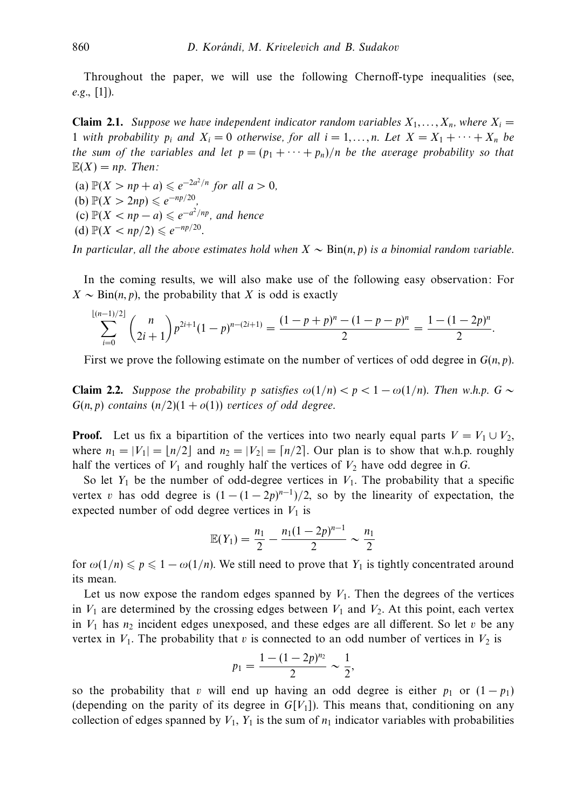Throughout the paper, we will use the following Chernoff-type inequalities (see,  $e.g., [1]).$ 

**Claim 2.1.** Suppose we have independent indicator random variables  $X_1, \ldots, X_n$ , where  $X_i =$ 1 with probability  $p_i$  and  $X_i = 0$  otherwise, for all  $i = 1, \ldots, n$ . Let  $X = X_1 + \cdots + X_n$  be the sum of the variables and let  $p = (p_1 + \cdots + p_n)/n$  be the average probability so that  $E(X) = np$ . Then:

 $(a) \mathbb{P}(X > np + a) \leqslant e^{-2a^2/n}$  for all  $a > 0$ , (**b**)  $\mathbb{P}(X > 2np) \le e^{-np/20}$ ,  $f(c) \mathbb{P}(X < np - a) \leqslant e^{-a^2/np}$ , and hence (d)  $\mathbb{P}(X < np/2) \le e^{-np/20}$ .

*In particular, all the above estimates hold when*  $X ∼ Bin(n, p)$  is a binomial random variable.

In the coming results, we will also make use of the following easy observation: For  $X \sim \text{Bin}(n, p)$ , the probability that *X* is odd is exactly

$$
\sum_{i=0}^{\lfloor (n-1)/2 \rfloor} \binom{n}{2i+1} p^{2i+1} (1-p)^{n-(2i+1)} = \frac{(1-p+p)^n - (1-p-p)^n}{2} = \frac{1 - (1-2p)^n}{2}.
$$

First we prove the following estimate on the number of vertices of odd degree in *G*(*n, p*).

**Claim 2.2.** Suppose the probability *p* satisfies  $\omega(1/n) < p < 1 - \omega(1/n)$ . Then w.h.p.  $G \sim$  $G(n, p)$  contains  $(n/2)(1 + o(1))$  vertices of odd degree.

**Proof.** Let us fix a bipartition of the vertices into two nearly equal parts  $V = V_1 \cup V_2$ , where  $n_1 = |V_1| = \lfloor n/2 \rfloor$  and  $n_2 = |V_2| = \lfloor n/2 \rfloor$ . Our plan is to show that w.h.p. roughly half the vertices of  $V_1$  and roughly half the vertices of  $V_2$  have odd degree in  $G$ .

So let  $Y_1$  be the number of odd-degree vertices in  $V_1$ . The probability that a specific vertex *v* has odd degree is  $(1 - (1 - 2p)^{n-1})/2$ , so by the linearity of expectation, the expected number of odd degree vertices in  $V_1$  is

$$
\mathbb{E}(Y_1) = \frac{n_1}{2} - \frac{n_1(1-2p)^{n-1}}{2} \sim \frac{n_1}{2}
$$

for  $\omega(1/n) \leq p \leq 1 - \omega(1/n)$ . We still need to prove that  $Y_1$  is tightly concentrated around its mean.

Let us now expose the random edges spanned by  $V_1$ . Then the degrees of the vertices in  $V_1$  are determined by the crossing edges between  $V_1$  and  $V_2$ . At this point, each vertex in  $V_1$  has  $n_2$  incident edges unexposed, and these edges are all different. So let  $v$  be any vertex in  $V_1$ . The probability that *v* is connected to an odd number of vertices in  $V_2$  is

$$
p_1 = \frac{1 - (1 - 2p)^{n_2}}{2} \sim \frac{1}{2},
$$

so the probability that *v* will end up having an odd degree is either  $p_1$  or  $(1 - p_1)$ (depending on the parity of its degree in  $G[V_1]$ ). This means that, conditioning on any collection of edges spanned by  $V_1$ ,  $Y_1$  is the sum of  $n_1$  indicator variables with probabilities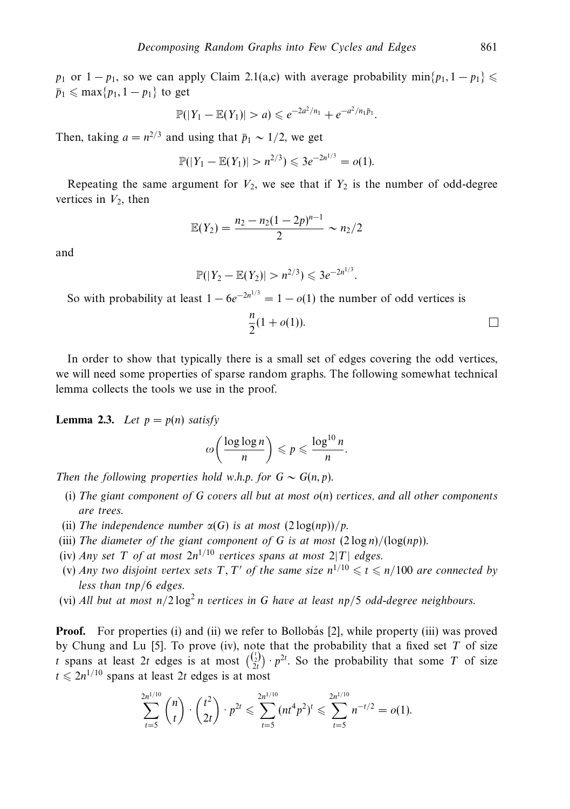*p*<sub>1</sub> or  $1 - p_1$ , so we can apply Claim 2.1(a,c) with average probability min $\{p_1, 1 - p_1\} \leq$  $\bar{p}_1 \leq \max\{p_1, 1-p_1\}$  to get

$$
\mathbb{P}(|Y_1 - \mathbb{E}(Y_1)| > a) \leqslant e^{-2a^2/n_1} + e^{-a^2/n_1\bar{p}_1}.
$$

Then, taking  $a = n^{2/3}$  and using that  $\bar{p}_1 \sim 1/2$ , we get

$$
\mathbb{P}(|Y_1 - \mathbb{E}(Y_1)| > n^{2/3}) \leq 3e^{-2n^{1/3}} = o(1).
$$

Repeating the same argument for  $V_2$ , we see that if  $Y_2$  is the number of odd-degree vertices in  $V_2$ , then

$$
\mathbb{E}(Y_2) = \frac{n_2 - n_2(1 - 2p)^{n-1}}{2} \sim n_2/2
$$

and

$$
\mathbb{P}(|Y_2-\mathbb{E}(Y_2)|>n^{2/3})\leqslant 3e^{-2n^{1/3}}.
$$

So with probability at least  $1 - 6e^{-2n^{1/3}} = 1 - o(1)$  the number of odd vertices is

$$
\frac{n}{2}(1+o(1)).
$$

In order to show that typically there is a small set of edges covering the odd vertices, we will need some properties of sparse random graphs. The following somewhat technical lemma collects the tools we use in the proof.

**Lemma 2.3.** Let  $p = p(n)$  satisfy

$$
\omega\left(\frac{\log\log n}{n}\right) \leqslant p \leqslant \frac{\log^{10} n}{n}.
$$

Then the following properties hold w.h.p. for  $G \sim G(n, p)$ .

- (i) The giant component of *G* covers all but at most *o*(*n*) vertices, and all other components are trees.
- (ii) The independence number  $\alpha(G)$  is at most  $(2 \log(np))/p$ .
- (iii) The diameter of the giant component of *G* is at most  $(2 \log n) / (\log(np))$ .
- (iv) Any set *T* of at most  $2n^{1/10}$  vertices spans at most  $2|T|$  edges.
- (v) Any two disjoint vertex sets T, T' of the same size  $n^{1/10} \leq t \leq n/100$  are connected by less than *tnp/*6 edges.
- (vi) All but at most  $n/2 \log^2 n$  vertices in G have at least  $np/5$  odd-degree neighbours.

**Proof.** For properties (i) and (ii) we refer to Bollobás [2], while property (iii) was proved by Chung and Lu [5]. To prove (iv), note that the probability that a fixed set *T* of size *t* spans at least 2*t* edges is at most  $\binom{\binom{t}{2}}{2t}$   $\cdot$   $p^{2t}$ . So the probability that some *T* of size  $t \le 2n^{1/10}$  spans at least 2*t* edges is at most

$$
\sum_{t=5}^{2n^{1/10}} \binom{n}{t} \cdot \binom{t^2}{2t} \cdot p^{2t} \leqslant \sum_{t=5}^{2n^{1/10}} (nt^4 p^2)^t \leqslant \sum_{t=5}^{2n^{1/10}} n^{-t/2} = o(1).
$$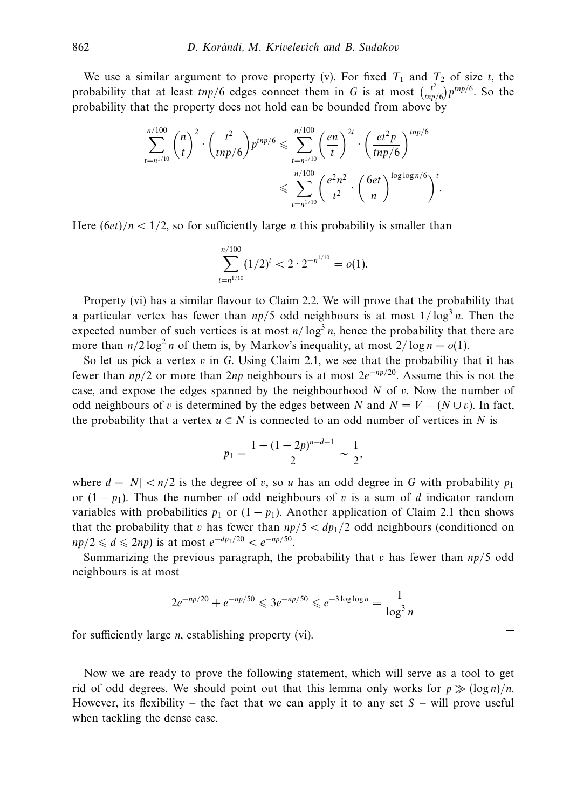We use a similar argument to prove property (v). For fixed  $T_1$  and  $T_2$  of size *t*, the probability that at least  $tmp/6$  edges connect them in *G* is at most  $\begin{pmatrix} t^2 \\ tm \end{pmatrix}$  $\binom{t^2}{tnp/6} p^{tmp/6}$ . So the probability that the property does not hold can be bounded from above by

$$
\sum_{t=n^{1/10}}^{n/100} {n \choose t}^2 \cdot {t^2 \choose t np/6} p^{tnp/6} \leq \sum_{t=n^{1/10}}^{n/100} \left(\frac{en}{t}\right)^{2t} \cdot \left(\frac{et^2 p}{tnp/6}\right)^{tnp/6}
$$

$$
\leq \sum_{t=n^{1/10}}^{n/100} \left(\frac{e^2 n^2}{t^2} \cdot \left(\frac{6et}{n}\right)^{\log \log n/6}\right)^t.
$$

Here  $(6et)/n < 1/2$ , so for sufficiently large *n* this probability is smaller than

$$
\sum_{t=n^{1/10}}^{n/100} (1/2)^t < 2 \cdot 2^{-n^{1/10}} = o(1).
$$

Property (vi) has a similar flavour to Claim 2.2. We will prove that the probability that a particular vertex has fewer than  $np/5$  odd neighbours is at most  $1/\log^3 n$ . Then the expected number of such vertices is at most  $n/\log^3 n$ , hence the probability that there are more than  $n/2 \log^2 n$  of them is, by Markov's inequality, at most  $2/\log n = o(1)$ .

So let us pick a vertex *v* in *G*. Using Claim 2.1, we see that the probability that it has fewer than *np/*2 or more than 2*np* neighbours is at most 2*e*<sup>−</sup>*np/*20. Assume this is not the case, and expose the edges spanned by the neighbourhood *N* of *v*. Now the number of odd neighbours of *v* is determined by the edges between *N* and  $\overline{N} = V - (N \cup v)$ . In fact, the probability that a vertex  $u \in N$  is connected to an odd number of vertices in  $\overline{N}$  is

$$
p_1 = \frac{1 - (1 - 2p)^{n - d - 1}}{2} \sim \frac{1}{2},
$$

where  $d = |N| < n/2$  is the degree of *v*, so *u* has an odd degree in *G* with probability  $p_1$ or  $(1 - p_1)$ . Thus the number of odd neighbours of *v* is a sum of *d* indicator random variables with probabilities  $p_1$  or  $(1 - p_1)$ . Another application of Claim 2.1 then shows that the probability that *v* has fewer than  $np/5 < dp_1/2$  odd neighbours (conditioned on *np*/2 ≤ *d* ≤ 2*np*) is at most  $e^{-dp_1/20} < e^{-np/50}$ .

Summarizing the previous paragraph, the probability that *v* has fewer than *np/*5 odd neighbours is at most

$$
2e^{-np/20} + e^{-np/50} \leq 3e^{-np/50} \leq e^{-3\log\log n} = \frac{1}{\log^3 n}
$$

 $\Box$ 

for sufficiently large *n*, establishing property (vi).

Now we are ready to prove the following statement, which will serve as a tool to get rid of odd degrees. We should point out that this lemma only works for  $p \gg (\log n)/n$ . However, its flexibility – the fact that we can apply it to any set  $S$  – will prove useful when tackling the dense case.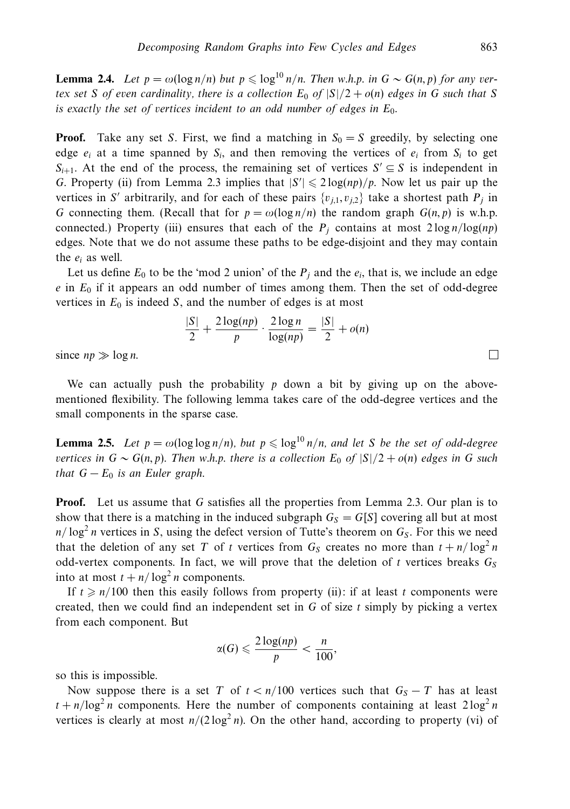**Lemma 2.4.** Let  $p = \omega(\log n/n)$  but  $p \leq \log^{10} n/n$ . Then w.h.p. in  $G \sim G(n, p)$  for any vertex set *S* of even cardinality, there is a collection  $E_0$  of  $|S|/2 + o(n)$  edges in *G* such that *S* is exactly the set of vertices incident to an odd number of edges in *E*0.

**Proof.** Take any set *S*. First, we find a matching in  $S_0 = S$  greedily, by selecting one edge  $e_i$  at a time spanned by  $S_i$ , and then removing the vertices of  $e_i$  from  $S_i$  to get  $S_{i+1}$ . At the end of the process, the remaining set of vertices  $S' \subseteq S$  is independent in *G*. Property (ii) from Lemma 2.3 implies that  $|S'| \leq 2 \log(np)/p$ . Now let us pair up the vertices in *S'* arbitrarily, and for each of these pairs  $\{v_{i,1}, v_{i,2}\}\)$  take a shortest path  $P_i$  in *G* connecting them. (Recall that for  $p = \omega(\log n/n)$  the random graph  $G(n, p)$  is w.h.p. connected.) Property (iii) ensures that each of the  $P_j$  contains at most  $2 \log n / \log(np)$ edges. Note that we do not assume these paths to be edge-disjoint and they may contain the *ei* as well.

Let us define  $E_0$  to be the 'mod 2 union' of the  $P_j$  and the  $e_i$ , that is, we include an edge *e* in *E*<sup>0</sup> if it appears an odd number of times among them. Then the set of odd-degree vertices in  $E_0$  is indeed  $S$ , and the number of edges is at most

$$
\frac{|S|}{2} + \frac{2\log(np)}{p} \cdot \frac{2\log n}{\log(np)} = \frac{|S|}{2} + o(n)
$$

since  $np \gg \log n$ .

We can actually push the probability *p* down a bit by giving up on the abovementioned flexibility. The following lemma takes care of the odd-degree vertices and the small components in the sparse case.

**Lemma 2.5.** Let  $p = \omega(\log \log n/n)$ , but  $p \leq \log^{10} n/n$ , and let *S* be the set of odd-degree vertices in  $G \sim G(n, p)$ . Then w.h.p. there is a collection  $E_0$  of  $|S|/2 + o(n)$  edges in G such that  $G - E_0$  is an Euler graph.

**Proof.** Let us assume that *G* satisfies all the properties from Lemma 2.3. Our plan is to show that there is a matching in the induced subgraph  $G<sub>S</sub> = G[S]$  covering all but at most  $n/\log^2 n$  vertices in *S*, using the defect version of Tutte's theorem on  $G_S$ . For this we need that the deletion of any set *T* of *t* vertices from  $G_S$  creates no more than  $t + n/\log^2 n$ odd-vertex components. In fact, we will prove that the deletion of *t* vertices breaks  $G_S$ into at most  $t + n/\log^2 n$  components.

If  $t \ge n/100$  then this easily follows from property (ii): if at least *t* components were created, then we could find an independent set in *G* of size *t* simply by picking a vertex from each component. But

$$
\alpha(G) \leqslant \frac{2\log(np)}{p} < \frac{n}{100},
$$

so this is impossible.

Now suppose there is a set *T* of  $t < n/100$  vertices such that  $G_S - T$  has at least  $t + n/\log^2 n$  components. Here the number of components containing at least  $2\log^2 n$ vertices is clearly at most  $n/(2 \log^2 n)$ . On the other hand, according to property (vi) of

 $\Box$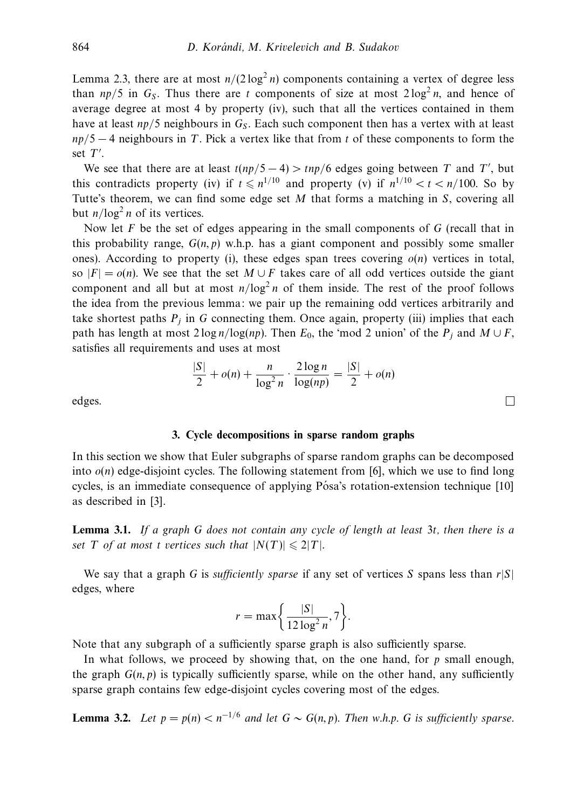Lemma 2.3, there are at most  $n/(2 \log^2 n)$  components containing a vertex of degree less than  $np/5$  in  $G_s$ . Thus there are *t* components of size at most  $2 \log^2 n$ , and hence of average degree at most 4 by property (iv), such that all the vertices contained in them have at least  $np/5$  neighbours in  $G_S$ . Each such component then has a vertex with at least *np/*5 − 4 neighbours in *T*. Pick a vertex like that from *t* of these components to form the set *T* .

We see that there are at least  $t(np/5 - 4) > \frac{inp}{6}$  edges going between *T* and *T'*, but this contradicts property (iv) if  $t \le n^{1/10}$  and property (v) if  $n^{1/10} < t < n/100$ . So by Tutte's theorem, we can find some edge set *M* that forms a matching in *S*, covering all but  $n/log<sup>2</sup> n$  of its vertices.

Now let *F* be the set of edges appearing in the small components of *G* (recall that in this probability range,  $G(n, p)$  w.h.p. has a giant component and possibly some smaller ones). According to property (i), these edges span trees covering  $o(n)$  vertices in total, so  $|F| = o(n)$ . We see that the set  $M \cup F$  takes care of all odd vertices outside the giant component and all but at most  $n/log<sup>2</sup> n$  of them inside. The rest of the proof follows the idea from the previous lemma: we pair up the remaining odd vertices arbitrarily and take shortest paths  $P_i$  in *G* connecting them. Once again, property (iii) implies that each path has length at most  $2 \log n / \log(np)$ . Then  $E_0$ , the 'mod 2 union' of the  $P_j$  and  $M \cup F$ , satisfies all requirements and uses at most

$$
\frac{|S|}{2} + o(n) + \frac{n}{\log^2 n} \cdot \frac{2\log n}{\log(np)} = \frac{|S|}{2} + o(n)
$$

 $\Box$ 

edges.

### **3. Cycle decompositions in sparse random graphs**

In this section we show that Euler subgraphs of sparse random graphs can be decomposed into  $o(n)$  edge-disjoint cycles. The following statement from [6], which we use to find long cycles, is an immediate consequence of applying Pósa's rotation-extension technique [10] as described in [3].

**Lemma 3.1.** If a graph *G* does not contain any cycle of length at least 3*t*, then there is a set *T* of at most *t* vertices such that  $|N(T)| \leq 2|T|$ .

We say that a graph *G* is *sufficiently sparse* if any set of vertices *S* spans less than  $r|S|$ edges, where

$$
r = \max\bigg\{\frac{|S|}{12\log^2 n}, 7\bigg\}.
$$

Note that any subgraph of a sufficiently sparse graph is also sufficiently sparse.

In what follows, we proceed by showing that, on the one hand, for *p* small enough, the graph  $G(n, p)$  is typically sufficiently sparse, while on the other hand, any sufficiently sparse graph contains few edge-disjoint cycles covering most of the edges.

**Lemma 3.2.** Let  $p = p(n) < n^{-1/6}$  and let  $G \sim G(n, p)$ . Then w.h.p. G is sufficiently sparse.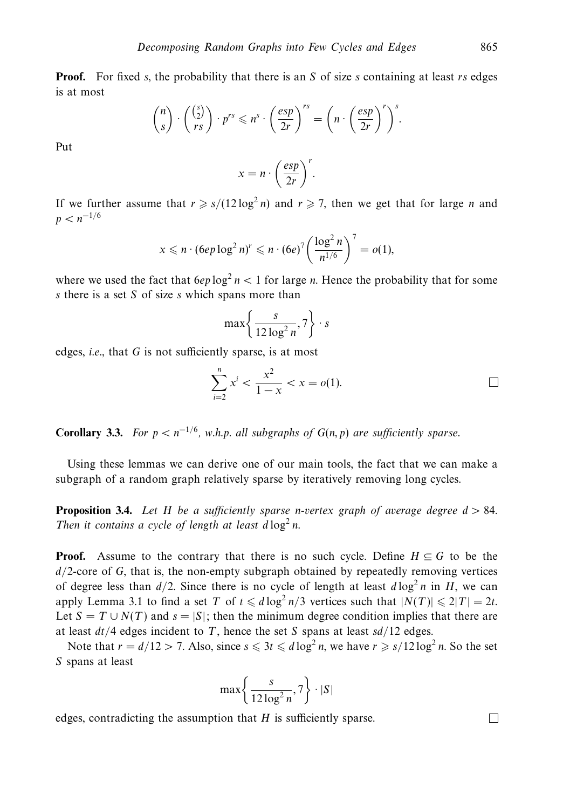**Proof.** For fixed *s*, the probability that there is an *S* of size *s* containing at least *rs* edges is at most

$$
\binom{n}{s} \cdot \binom{\binom{s}{2}}{rs} \cdot p^{rs} \leqslant n^s \cdot \left(\frac{esp}{2r}\right)^{rs} = \left(n \cdot \left(\frac{esp}{2r}\right)^r\right)^s.
$$

Put

$$
x = n \cdot \left(\frac{esp}{2r}\right)^r.
$$

If we further assume that  $r \ge s/(12 \log^2 n)$  and  $r \ge 7$ , then we get that for large *n* and  $p < n^{-1/6}$ 

$$
x \leq n \cdot (6ep \log^2 n)^r \leq n \cdot (6e)^7 \left(\frac{\log^2 n}{n^{1/6}}\right)^7 = o(1),
$$

where we used the fact that  $6ep \log^2 n < 1$  for large *n*. Hence the probability that for some *s* there is a set *S* of size *s* which spans more than

$$
\max\left\{\frac{s}{12\log^2 n}, 7\right\} \cdot s
$$

edges, i.e., that *G* is not sufficiently sparse, is at most

$$
\sum_{i=2}^{n} x^{i} < \frac{x^{2}}{1-x} < x = o(1). \tag{1}
$$

**Corollary 3.3.** For  $p < n^{-1/6}$ , w.h.p. all subgraphs of  $G(n, p)$  are sufficiently sparse.

Using these lemmas we can derive one of our main tools, the fact that we can make a subgraph of a random graph relatively sparse by iteratively removing long cycles.

**Proposition 3.4.** Let *H* be a sufficiently sparse *n*-vertex graph of average degree *d >* 84. Then it contains a cycle of length at least  $d \log^2 n$ .

**Proof.** Assume to the contrary that there is no such cycle. Define  $H \subseteq G$  to be the *d/*2-core of *G*, that is, the non-empty subgraph obtained by repeatedly removing vertices of degree less than  $d/2$ . Since there is no cycle of length at least  $d \log^2 n$  in *H*, we can apply Lemma 3.1 to find a set *T* of  $t \le d \log^2 n/3$  vertices such that  $|N(T)| \le 2|T| = 2t$ . Let  $S = T \cup N(T)$  and  $s = |S|$ ; then the minimum degree condition implies that there are at least *dt/*4 edges incident to *T*, hence the set *S* spans at least *sd/*12 edges.

Note that  $r = d/12 > 7$ . Also, since  $s \leq 3t \leq d \log^2 n$ , we have  $r \geq s/12 \log^2 n$ . So the set *S* spans at least

$$
\max\left\{\frac{s}{12\log^2 n}, 7\right\} \cdot |S|
$$

edges, contradicting the assumption that *H* is sufficiently sparse.

 $\Box$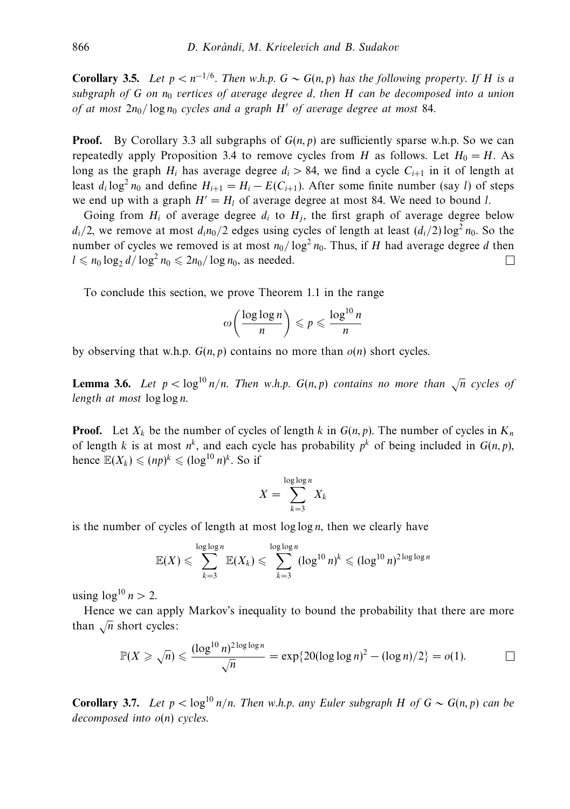**Corollary 3.5.** Let  $p < n^{-1/6}$ . Then w.h.p.  $G \sim G(n, p)$  has the following property. If *H* is a subgraph of  $G$  on  $n_0$  vertices of average degree d, then  $H$  can be decomposed into a union of at most  $2n_0$  /  $\log n_0$  cycles and a graph *H'* of average degree at most 84.

**Proof.** By Corollary 3.3 all subgraphs of  $G(n, p)$  are sufficiently sparse w.h.p. So we can repeatedly apply Proposition 3.4 to remove cycles from *H* as follows. Let  $H_0 = H$ . As long as the graph  $H_i$  has average degree  $d_i > 84$ , we find a cycle  $C_{i+1}$  in it of length at least  $d_i \log^2 n_0$  and define  $H_{i+1} = H_i - E(C_{i+1})$ . After some finite number (say *l*) of steps we end up with a graph  $H' = H_l$  of average degree at most 84. We need to bound *l*.

Going from  $H_i$  of average degree  $d_i$  to  $H_j$ , the first graph of average degree below  $d_i/2$ , we remove at most  $d_i n_0/2$  edges using cycles of length at least  $(d_i/2) \log^2 n_0$ . So the number of cycles we removed is at most  $n_0/\log^2 n_0$ . Thus, if *H* had average degree *d* then  $l \leq n_0 \log_2 d / \log^2 n_0 \leq 2n_0 / \log n_0$ , as needed. П.

To conclude this section, we prove Theorem 1.1 in the range

$$
\omega\left(\frac{\log\log n}{n}\right) \leqslant p \leqslant \frac{\log^{10} n}{n}
$$

by observing that w.h.p.  $G(n, p)$  contains no more than  $o(n)$  short cycles.

**Lemma 3.6.** Let  $p < log^{10} n/n$ . Then w.h.p.  $G(n, p)$  contains no more than  $\sqrt{n}$  cycles of length at most log log *n*.

**Proof.** Let  $X_k$  be the number of cycles of length  $k$  in  $G(n, p)$ . The number of cycles in  $K_n$ of length *k* is at most  $n^k$ , and each cycle has probability  $p^k$  of being included in  $G(n, p)$ , hence  $\mathbb{E}(X_k) \leqslant (np)^k \leqslant (\log^{10} n)^k$ . So if

$$
X = \sum_{k=3}^{\log \log n} X_k
$$

is the number of cycles of length at most log log *n*, then we clearly have

$$
\mathbb{E}(X) \leqslant \sum_{k=3}^{\log\log n} \mathbb{E}(X_k) \leqslant \sum_{k=3}^{\log\log n} (\log^{10} n)^k \leqslant (\log^{10} n)^{2\log\log n}
$$

using  $\log^{10} n > 2$ .

Hence we can apply Markov's inequality to bound the probability that there are more than  $\sqrt{n}$  short cycles:

$$
\mathbb{P}(X \geq \sqrt{n}) \leq \frac{(\log^{10} n)^{2\log\log n}}{\sqrt{n}} = \exp\{20(\log\log n)^2 - (\log n)/2\} = o(1).
$$

**Corollary 3.7.** Let  $p < log^{10} n/n$ . Then w.h.p. any Euler subgraph *H* of  $G \sim G(n, p)$  can be decomposed into *o*(*n*) cycles.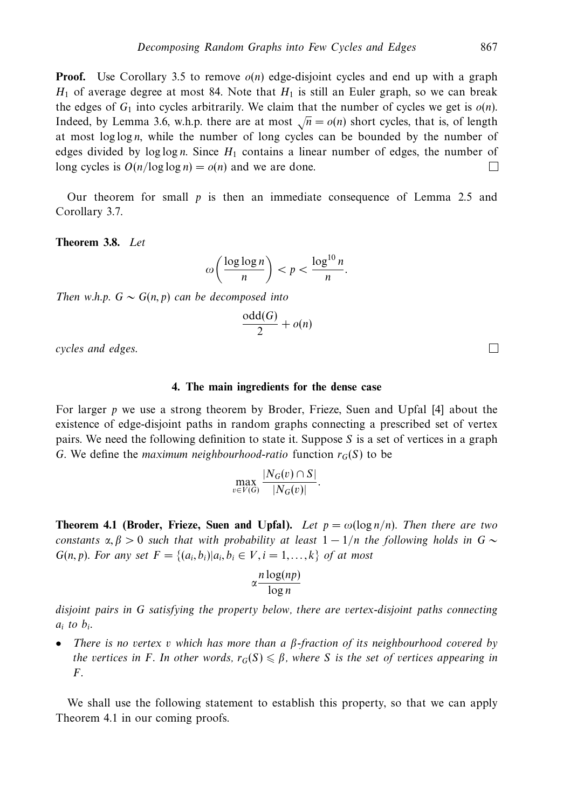**Proof.** Use Corollary 3.5 to remove  $o(n)$  edge-disjoint cycles and end up with a graph  $H_1$  of average degree at most 84. Note that  $H_1$  is still an Euler graph, so we can break the edges of  $G_1$  into cycles arbitrarily. We claim that the number of cycles we get is  $o(n)$ . Indeed, by Lemma 3.6, w.h.p. there are at most  $\sqrt{n} = o(n)$  short cycles, that is, of length at most log log *n*, while the number of long cycles can be bounded by the number of edges divided by log log *n*. Since *H*<sup>1</sup> contains a linear number of edges, the number of long cycles is  $O(n/\log \log n) = o(n)$  and we are done.  $\Box$ 

Our theorem for small *p* is then an immediate consequence of Lemma 2.5 and Corollary 3.7.

**Theorem 3.8.** Let

$$
\omega\left(\frac{\log\log n}{n}\right) < p < \frac{\log^{10} n}{n}.
$$

Then w.h.p.  $G \sim G(n, p)$  can be decomposed into

$$
\frac{\text{odd}(G)}{2} + o(n)
$$

cycles and edges.

#### **4. The main ingredients for the dense case**

For larger *p* we use a strong theorem by Broder, Frieze, Suen and Upfal [4] about the existence of edge-disjoint paths in random graphs connecting a prescribed set of vertex pairs. We need the following definition to state it. Suppose *S* is a set of vertices in a graph *G*. We define the *maximum neighbourhood-ratio* function  $r_G(S)$  to be

$$
\max_{v \in V(G)} \frac{|N_G(v) \cap S|}{|N_G(v)|}.
$$

**Theorem 4.1 (Broder, Frieze, Suen and Upfal).** Let  $p = \omega(\log n/n)$ . Then there are two constants  $\alpha, \beta > 0$  such that with probability at least  $1 - 1/n$  the following holds in  $G \sim$ *G*(*n, p*). For any set  $F = \{(a_i, b_i) | a_i, b_i \in V, i = 1, ..., k\}$  of at most

$$
\alpha \frac{n \log(np)}{\log n}
$$

disjoint pairs in *G* satisfying the property below, there are vertex-disjoint paths connecting *ai* to *bi*.

• There is no vertex *v* which has more than a *β*-fraction of its neighbourhood covered by the vertices in *F*. In other words,  $r_G(S) \leqslant \beta$ , where *S* is the set of vertices appearing in *F*.

We shall use the following statement to establish this property, so that we can apply Theorem 4.1 in our coming proofs.

 $\Box$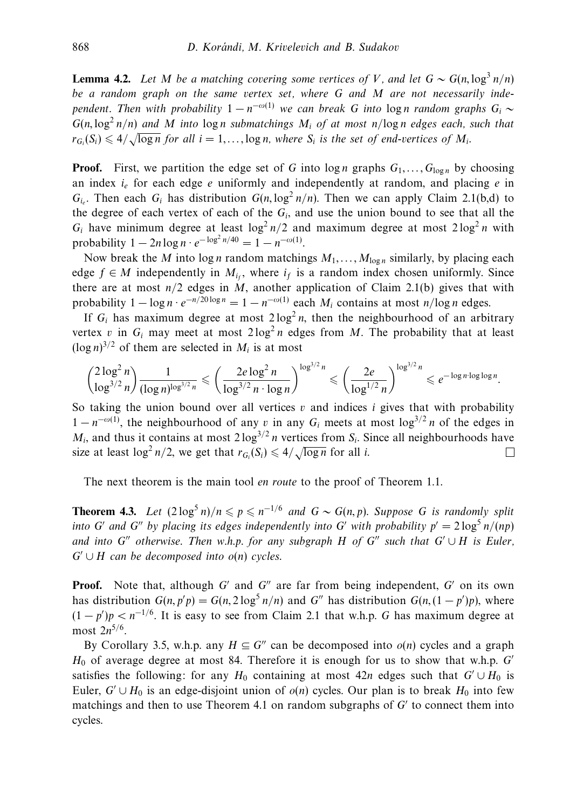**Lemma 4.2.** Let *M* be a matching covering some vertices of *V*, and let  $G \sim G(n, \log^3 n/n)$ be a random graph on the same vertex set, where *G* and *M* are not necessarily independent. Then with probability  $1 - n^{-\omega(1)}$  we can break *G* into log *n* random graphs  $G_i \sim$  $G(n, \log^2 n/n)$  and *M* into  $\log n$  submatchings  $M_i$  of at most  $n/\log n$  edges each, such that  $r_{G_i}(S_i) \leq 4/\sqrt{\log n}$  for all  $i = 1, \ldots, \log n$ , where  $S_i$  is the set of end-vertices of  $M_i$ .

**Proof.** First, we partition the edge set of *G* into  $\log n$  graphs  $G_1, \ldots, G_{\log n}$  by choosing an index  $i_e$  for each edge  $e$  uniformly and independently at random, and placing  $e$  in  $G_i$ . Then each  $G_i$  has distribution  $G(n, \log^2 n/n)$ . Then we can apply Claim 2.1(b,d) to the degree of each vertex of each of the  $G_i$ , and use the union bound to see that all the  $G_i$  have minimum degree at least  $\log^2 n/2$  and maximum degree at most  $2\log^2 n$  with probability  $1 - 2n \log n \cdot e^{-\log^2 n/40} = 1 - n^{-\omega(1)}$ .

Now break the *M* into  $\log n$  random matchings  $M_1, \ldots, M_{\log n}$  similarly, by placing each edge  $f \in M$  independently in  $M_i$ , where  $i_f$  is a random index chosen uniformly. Since there are at most  $n/2$  edges in  $M$ , another application of Claim 2.1(b) gives that with probability  $1 - \log n \cdot e^{-n/20 \log n} = 1 - n^{-\omega(1)}$  each  $M_i$  contains at most  $n/\log n$  edges.

If  $G_i$  has maximum degree at most  $2 \log^2 n$ , then the neighbourhood of an arbitrary vertex *v* in  $G_i$  may meet at most  $2 \log^2 n$  edges from *M*. The probability that at least  $(\log n)^{3/2}$  of them are selected in  $M_i$  is at most

$$
\binom{2\log^2 n}{\log^{3/2} n} \frac{1}{(\log n)^{\log^{3/2} n}} \leq \left(\frac{2e\log^2 n}{\log^{3/2} n \cdot \log n}\right)^{\log^{3/2} n} \leq \left(\frac{2e}{\log^{1/2} n}\right)^{\log^{3/2} n} \leq e^{-\log n \cdot \log \log n}.
$$

So taking the union bound over all vertices *v* and indices *i* gives that with probability  $1 - n^{-\omega(1)}$ , the neighbourhood of any *v* in any  $G_i$  meets at most  $\log^{3/2} n$  of the edges in  $M_i$  and thus it contains at most  $2 \log^{3/2} n$  vertices from  $S_i$ . Since all neighbourhoods have size at least  $\log^2 n/2$ , we get that  $r_{G_i}(S_i) \leq 4/\sqrt{\log n}$  for all *i*.  $\Box$ 

The next theorem is the main tool en route to the proof of Theorem 1.1.

**Theorem 4.3.** Let  $(2 \log^5 n)/n \leq p \leq n^{-1/6}$  and  $G \sim G(n, p)$ . Suppose *G* is randomly split into *G'* and *G''* by placing its edges independently into *G'* with probability  $p' = 2 \log^5 n/(np)$ and into *G*<sup>"</sup> otherwise. Then w.h.p. for any subgraph *H* of *G*<sup>"</sup> such that  $G' \cup H$  is Euler,  $G' \cup H$  can be decomposed into  $o(n)$  cycles.

**Proof.** Note that, although *G'* and *G''* are far from being independent, *G'* on its own has distribution  $G(n, p'p) = G(n, 2 \log^5 n/n)$  and  $G''$  has distribution  $G(n, (1 - p')p)$ , where  $(1 - p')p < n^{-1/6}$ . It is easy to see from Claim 2.1 that w.h.p. *G* has maximum degree at most 2*n*<sup>5</sup>*/*6.

By Corollary 3.5, w.h.p. any  $H \subseteq G''$  can be decomposed into  $o(n)$  cycles and a graph *H*<sup>0</sup> of average degree at most 84. Therefore it is enough for us to show that w.h.p. *G* satisfies the following: for any  $H_0$  containing at most 42*n* edges such that  $G' \cup H_0$  is Euler,  $G' \cup H_0$  is an edge-disjoint union of  $o(n)$  cycles. Our plan is to break  $H_0$  into few matchings and then to use Theorem 4.1 on random subgraphs of  $G'$  to connect them into cycles.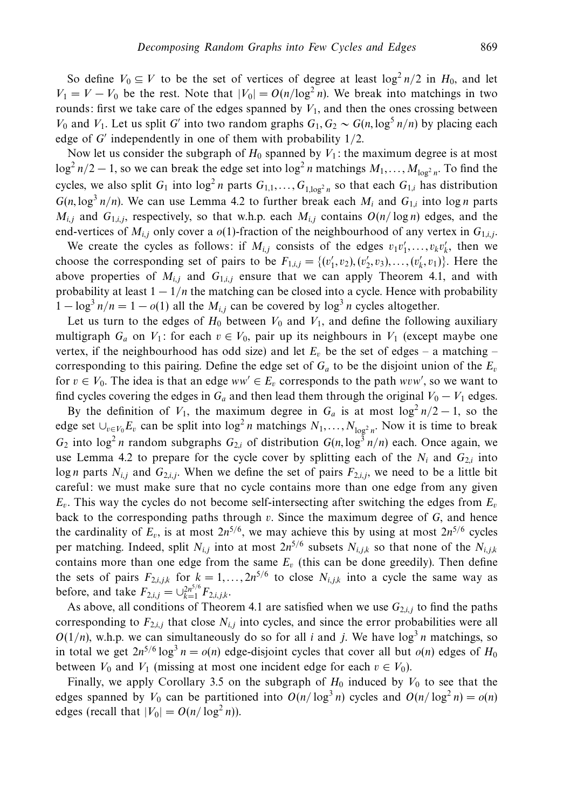So define  $V_0 \subseteq V$  to be the set of vertices of degree at least  $\log^2 n/2$  in  $H_0$ , and let  $V_1 = V - V_0$  be the rest. Note that  $|V_0| = O(n/\log^2 n)$ . We break into matchings in two rounds: first we take care of the edges spanned by  $V_1$ , and then the ones crossing between *V*<sub>0</sub> and *V*<sub>1</sub>. Let us split *G* into two random graphs  $G_1, G_2 \sim G(n, \log^5 n/n)$  by placing each edge of *G* independently in one of them with probability 1*/*2.

Now let us consider the subgraph of  $H_0$  spanned by  $V_1$ : the maximum degree is at most  $\log^2 n/2 - 1$ , so we can break the edge set into  $\log^2 n$  matchings  $M_1, \ldots, M_{\log^2 n}$ . To find the cycles, we also split  $G_1$  into  $\log^2 n$  parts  $G_{1,1}, \ldots, G_{1,\log^2 n}$  so that each  $G_{1,i}$  has distribution  $G(n, \log^3 n/n)$ . We can use Lemma 4.2 to further break each  $M_i$  and  $G_{1,i}$  into log *n* parts  $M_{i,j}$  and  $G_{1,i,j}$ , respectively, so that w.h.p. each  $M_{i,j}$  contains  $O(n/\log n)$  edges, and the end-vertices of  $M_{i,j}$  only cover a  $o(1)$ -fraction of the neighbourhood of any vertex in  $G_{1,i,j}$ .

We create the cycles as follows: if  $M_{i,j}$  consists of the edges  $v_1v'_1, \ldots, v_kv'_k$ , then we choose the corresponding set of pairs to be  $F_{1,i,j} = \{(v'_1, v_2), (v'_2, v_3), \ldots, (v'_k, v_1)\}$ . Here the above properties of  $M_{i,j}$  and  $G_{1,i,j}$  ensure that we can apply Theorem 4.1, and with probability at least  $1 - 1/n$  the matching can be closed into a cycle. Hence with probability  $1 - \log^3 n/n = 1 - o(1)$  all the  $M_{i,j}$  can be covered by  $\log^3 n$  cycles altogether.

Let us turn to the edges of  $H_0$  between  $V_0$  and  $V_1$ , and define the following auxiliary multigraph  $G_a$  on  $V_1$ : for each  $v \in V_0$ , pair up its neighbours in  $V_1$  (except maybe one vertex, if the neighbourhood has odd size) and let  $E_v$  be the set of edges – a matching – corresponding to this pairing. Define the edge set of  $G_a$  to be the disjoint union of the  $E_v$ for  $v \in V_0$ . The idea is that an edge  $ww' \in E_v$  corresponds to the path  $www'$ , so we want to find cycles covering the edges in  $G_a$  and then lead them through the original  $V_0 - V_1$  edges.

By the definition of  $V_1$ , the maximum degree in  $G_a$  is at most  $\log^2 n/2 - 1$ , so the edge set  $\cup_{v \in V_0} E_v$  can be split into  $\log^2 n$  matchings  $N_1, \ldots, N_{\log^2 n}$ . Now it is time to break  $G_2$  into  $\log^2 n$  random subgraphs  $G_{2,i}$  of distribution  $G(n, \log^3 n/n)$  each. Once again, we use Lemma 4.2 to prepare for the cycle cover by splitting each of the  $N_i$  and  $G_{2,i}$  into log *n* parts  $N_{i,j}$  and  $G_{2,i,j}$ . When we define the set of pairs  $F_{2,i,j}$ , we need to be a little bit careful: we must make sure that no cycle contains more than one edge from any given  $E_v$ . This way the cycles do not become self-intersecting after switching the edges from  $E_v$ back to the corresponding paths through *v*. Since the maximum degree of *G*, and hence the cardinality of  $E<sub>v</sub>$ , is at most  $2n^{5/6}$ , we may achieve this by using at most  $2n^{5/6}$  cycles per matching. Indeed, split  $N_{i,j}$  into at most  $2n^{5/6}$  subsets  $N_{i,j,k}$  so that none of the  $N_{i,j,k}$ contains more than one edge from the same  $E<sub>v</sub>$  (this can be done greedily). Then define the sets of pairs  $F_{2,i,j,k}$  for  $k = 1, ..., 2n^{5/6}$  to close  $N_{i,j,k}$  into a cycle the same way as before, and take  $F_{2,i,j} = \bigcup_{k=1}^{2n^{5/6}} F_{2,i,j,k}$ .

As above, all conditions of Theorem 4.1 are satisfied when we use  $G_{2,i,j}$  to find the paths corresponding to  $F_{2,i,j}$  that close  $N_{i,j}$  into cycles, and since the error probabilities were all  $O(1/n)$ , w.h.p. we can simultaneously do so for all *i* and *j*. We have  $log<sup>3</sup> n$  matchings, so in total we get  $2n^{5/6} \log^3 n = o(n)$  edge-disjoint cycles that cover all but  $o(n)$  edges of  $H_0$ between  $V_0$  and  $V_1$  (missing at most one incident edge for each  $v \in V_0$ ).

Finally, we apply Corollary 3.5 on the subgraph of  $H_0$  induced by  $V_0$  to see that the edges spanned by  $V_0$  can be partitioned into  $O(n/\log^3 n)$  cycles and  $O(n/\log^2 n) = o(n)$ edges (recall that  $|V_0| = O(n/\log^2 n)$ ).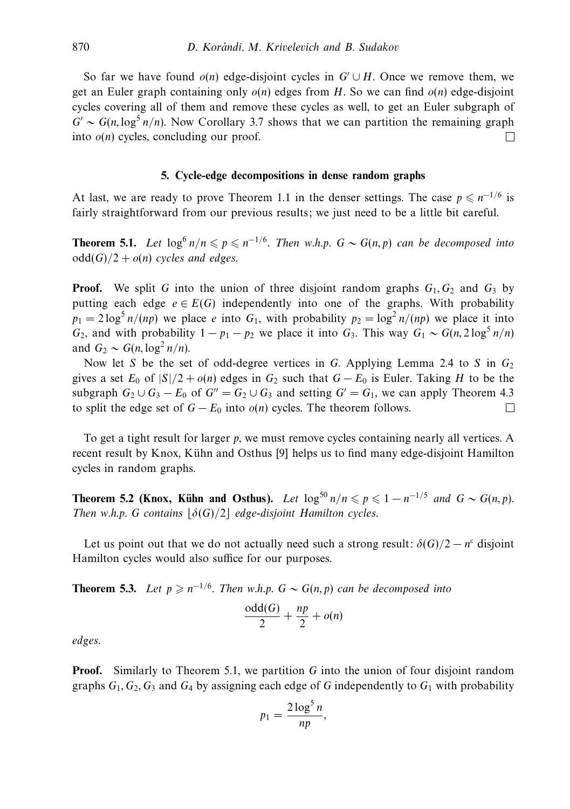So far we have found  $o(n)$  edge-disjoint cycles in  $G' \cup H$ . Once we remove them, we get an Euler graph containing only *o*(*n*) edges from *H*. So we can find *o*(*n*) edge-disjoint cycles covering all of them and remove these cycles as well, to get an Euler subgraph of  $G' \sim G(n, \log^5 n/n)$ . Now Corollary 3.7 shows that we can partition the remaining graph into  $o(n)$  cycles, concluding our proof.  $\Box$ 

#### **5. Cycle-edge decompositions in dense random graphs**

At last, we are ready to prove Theorem 1.1 in the denser settings. The case  $p \le n^{-1/6}$  is fairly straightforward from our previous results; we just need to be a little bit careful.

**Theorem 5.1.** Let  $\log^6 n/n \leqslant p \leqslant n^{-1/6}$ . Then w.h.p.  $G \sim G(n, p)$  can be decomposed into  $odd(G)/2 + o(n)$  cycles and edges.

**Proof.** We split G into the union of three disjoint random graphs  $G_1, G_2$  and  $G_3$  by putting each edge  $e \in E(G)$  independently into one of the graphs. With probability  $p_1 = 2 \log^5 n / (np)$  we place *e* into  $G_1$ , with probability  $p_2 = \log^2 n / (np)$  we place it into *G*<sub>2</sub>, and with probability  $1 - p_1 - p_2$  we place it into *G*<sub>3</sub>. This way  $G_1 \sim G(n, 2\log^5 n/n)$ and  $G_2 \sim G(n, \log^2 n/n)$ .

Now let *S* be the set of odd-degree vertices in *G*. Applying Lemma 2.4 to *S* in *G*<sup>2</sup> gives a set  $E_0$  of  $|S|/2 + o(n)$  edges in  $G_2$  such that  $G - E_0$  is Euler. Taking *H* to be the subgraph  $G_2 \cup G_3 - E_0$  of  $G'' = G_2 \cup G_3$  and setting  $G' = G_1$ , we can apply Theorem 4.3 to split the edge set of  $G - E_0$  into  $o(n)$  cycles. The theorem follows.  $\Box$ 

To get a tight result for larger *p*, we must remove cycles containing nearly all vertices. A recent result by Knox, Kühn and Osthus [9] helps us to find many edge-disjoint Hamilton cycles in random graphs.

**Theorem 5.2 (Knox, Kühn and Osthus).** Let  $\log^{50} n/n \leqslant p \leqslant 1 - n^{-1/5}$  and  $G \sim G(n, p)$ . Then w.h.p. *G* contains  $\left|\delta(G)/2\right|$  edge-disjoint Hamilton cycles.

Let us point out that we do not actually need such a strong result:  $\delta(G)/2 - n^e$  disjoint Hamilton cycles would also suffice for our purposes.

**Theorem 5.3.** Let  $p \geq n^{-1/6}$ . Then w.h.p.  $G \sim G(n, p)$  can be decomposed into

$$
\frac{\text{odd}(G)}{2} + \frac{np}{2} + o(n)
$$

edges.

**Proof.** Similarly to Theorem 5.1, we partition G into the union of four disjoint random graphs  $G_1, G_2, G_3$  and  $G_4$  by assigning each edge of G independently to  $G_1$  with probability

$$
p_1 = \frac{2\log^5 n}{np},
$$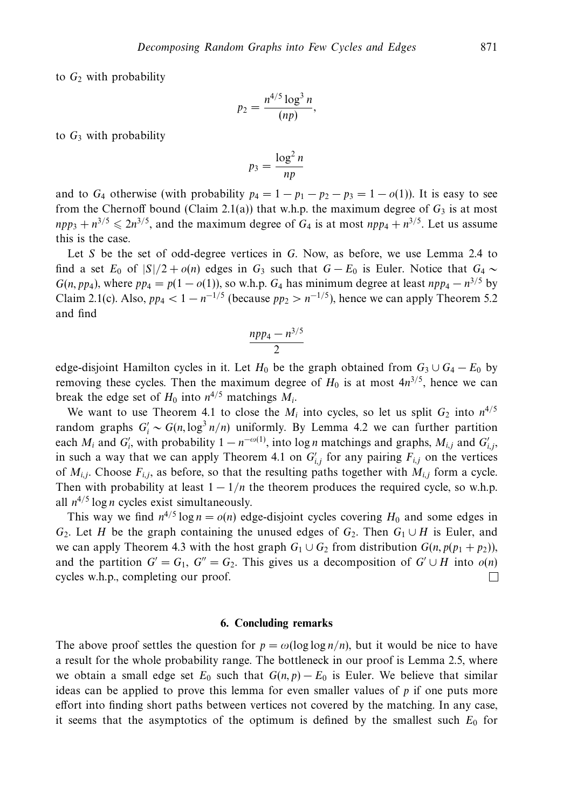to  $G_2$  with probability

$$
p_2=\frac{n^{4/5}\log^3 n}{(np)},
$$

to  $G_3$  with probability

$$
p_3 = \frac{\log^2 n}{np}
$$

and to  $G_4$  otherwise (with probability  $p_4 = 1 - p_1 - p_2 - p_3 = 1 - o(1)$ ). It is easy to see from the Chernoff bound (Claim 2.1(a)) that w.h.p. the maximum degree of  $G_3$  is at most  $npp_3 + n^{3/5} \le 2n^{3/5}$ , and the maximum degree of *G*<sub>4</sub> is at most  $npp_4 + n^{3/5}$ . Let us assume this is the case.

Let *S* be the set of odd-degree vertices in *G*. Now, as before, we use Lemma 2.4 to find a set  $E_0$  of  $|S|/2 + o(n)$  edges in  $G_3$  such that  $G - E_0$  is Euler. Notice that  $G_4 \sim$ *G*(*n*, *pp*<sub>4</sub>), where  $pp_4 = p(1 - o(1))$ , so w.h.p. *G*<sub>4</sub> has minimum degree at least  $npp_4 - n^{3/5}$  by Claim 2.1(c). Also,  $pp_4 < 1 - n^{-1/5}$  (because  $pp_2 > n^{-1/5}$ ), hence we can apply Theorem 5.2 and find

$$
\frac{npp_4 - n^{3/5}}{2}
$$

edge-disjoint Hamilton cycles in it. Let  $H_0$  be the graph obtained from  $G_3 \cup G_4 - E_0$  by removing these cycles. Then the maximum degree of  $H_0$  is at most  $4n^{3/5}$ , hence we can break the edge set of  $H_0$  into  $n^{4/5}$  matchings  $M_i$ .

We want to use Theorem 4.1 to close the  $M_i$  into cycles, so let us split  $G_2$  into  $n^{4/5}$ random graphs  $G_i' \sim G(n, \log^3 n/n)$  uniformly. By Lemma 4.2 we can further partition each  $M_i$  and  $G'_i$ , with probability  $1 - n^{-\omega(1)}$ , into log *n* matchings and graphs,  $M_{i,j}$  and  $G'_{i,j}$ , in such a way that we can apply Theorem 4.1 on  $G'_{i,j}$  for any pairing  $F_{i,j}$  on the vertices of  $M_{i,j}$ . Choose  $F_{i,j}$ , as before, so that the resulting paths together with  $M_{i,j}$  form a cycle. Then with probability at least  $1 - 1/n$  the theorem produces the required cycle, so w.h.p. all  $n^{4/5} \log n$  cycles exist simultaneously.

This way we find  $n^{4/5} \log n = o(n)$  edge-disjoint cycles covering  $H_0$  and some edges in *G*<sub>2</sub>. Let *H* be the graph containing the unused edges of *G*<sub>2</sub>. Then *G*<sub>1</sub> ∪ *H* is Euler, and we can apply Theorem 4.3 with the host graph  $G_1 \cup G_2$  from distribution  $G(n, p(p_1 + p_2))$ , and the partition  $G' = G_1$ ,  $G'' = G_2$ . This gives us a decomposition of  $G' \cup H$  into  $o(n)$ cycles w.h.p., completing our proof. П

#### **6. Concluding remarks**

The above proof settles the question for  $p = \omega(\log \log n/n)$ , but it would be nice to have a result for the whole probability range. The bottleneck in our proof is Lemma 2.5, where we obtain a small edge set  $E_0$  such that  $G(n, p) - E_0$  is Euler. We believe that similar ideas can be applied to prove this lemma for even smaller values of  $p$  if one puts more effort into finding short paths between vertices not covered by the matching. In any case, it seems that the asymptotics of the optimum is defined by the smallest such  $E_0$  for